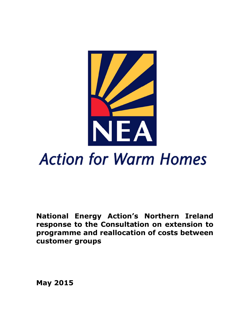

## **Action for Warm Homes**

**National Energy Action's Northern Ireland response to the Consultation on extension to programme and reallocation of costs between customer groups**

**May 2015**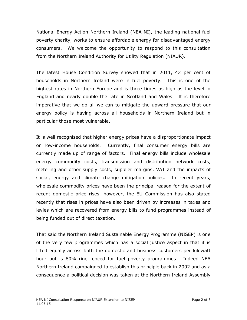National Energy Action Northern Ireland (NEA NI), the leading national fuel poverty charity, works to ensure affordable energy for disadvantaged energy consumers. We welcome the opportunity to respond to this consultation from the Northern Ireland Authority for Utility Regulation (NIAUR).

The latest House Condition Survey showed that in 2011, 42 per cent of households in Northern Ireland were in fuel poverty. This is one of the highest rates in Northern Europe and is three times as high as the level in England and nearly double the rate in Scotland and Wales. It is therefore imperative that we do all we can to mitigate the upward pressure that our energy policy is having across all households in Northern Ireland but in particular those most vulnerable.

It is well recognised that higher energy prices have a disproportionate impact on low-income households. Currently, final consumer energy bills are currently made up of range of factors. Final energy bills include wholesale energy commodity costs, transmission and distribution network costs, metering and other supply costs, supplier margins, VAT and the impacts of social, energy and climate change mitigation policies. In recent years, wholesale commodity prices have been the principal reason for the extent of recent domestic price rises, however, the EU Commission has also stated recently that rises in prices have also been driven by increases in taxes and levies which are recovered from energy bills to fund programmes instead of being funded out of direct taxation.

That said the Northern Ireland Sustainable Energy Programme (NISEP) is one of the very few programmes which has a social justice aspect in that it is lifted equally across both the domestic and business customers per kilowatt hour but is 80% ring fenced for fuel poverty programmes. Indeed NEA Northern Ireland campaigned to establish this principle back in 2002 and as a consequence a political decision was taken at the Northern Ireland Assembly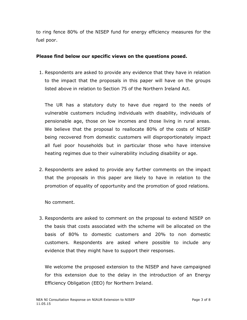to ring fence 80% of the NISEP fund for energy efficiency measures for the fuel poor.

## **Please find below our specific views on the questions posed.**

1. Respondents are asked to provide any evidence that they have in relation to the impact that the proposals in this paper will have on the groups listed above in relation to Section 75 of the Northern Ireland Act.

The UR has a statutory duty to have due regard to the needs of vulnerable customers including individuals with disability, individuals of pensionable age, those on low incomes and those living in rural areas. We believe that the proposal to reallocate 80% of the costs of NISEP being recovered from domestic customers will disproportionately impact all fuel poor households but in particular those who have intensive heating regimes due to their vulnerability including disability or age.

2. Respondents are asked to provide any further comments on the impact that the proposals in this paper are likely to have in relation to the promotion of equality of opportunity and the promotion of good relations.

No comment.

3. Respondents are asked to comment on the proposal to extend NISEP on the basis that costs associated with the scheme will be allocated on the basis of 80% to domestic customers and 20% to non domestic customers. Respondents are asked where possible to include any evidence that they might have to support their responses.

We welcome the proposed extension to the NISEP and have campaigned for this extension due to the delay in the introduction of an Energy Efficiency Obligation (EEO) for Northern Ireland.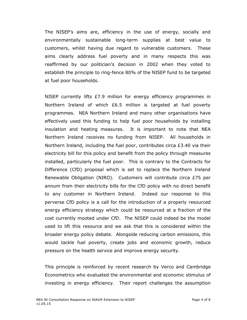The NISEP's aims are, efficiency in the use of energy, socially and environmentally sustainable long-term supplies at best value to customers, whilst having due regard to vulnerable customers. These aims clearly address fuel poverty and in many respects this was reaffirmed by our politician's decision in 2002 when they voted to establish the principle to ring-fence 80% of the NISEP fund to be targeted at fuel poor households.

NISEP currently lifts £7.9 million for energy efficiency programmes in Northern Ireland of which £6.5 million is targeted at fuel poverty programmes. NEA Northern Ireland and many other organisations have effectively used this funding to help fuel poor households by installing insulation and heating measures. It is important to note that NEA Northern Ireland receives no funding from NISEP. All households in Northern Ireland, including the fuel poor, contributes circa £3.40 via their electricity bill for this policy and benefit from the policy through measures installed, particularly the fuel poor. This is contrary to the Contracts for Difference (CfD) proposal which is set to replace the Northern Ireland Renewable Obligation (NIRO). Customers will contribute circa £75 per annum from their electricity bills for the CfD policy with no direct benefit to any customer in Northern Ireland. Indeed our response to this perverse CfD policy is a call for the introduction of a properly resourced energy efficiency strategy which could be resourced at a fraction of the cost currently mooted under CfD. The NISEP could indeed be the model used to lift this resource and we ask that this is considered within the broader energy policy debate. Alongside reducing carbon emissions, this would tackle fuel poverty, create jobs and economic growth, reduce pressure on the health service and improve energy security.

This principle is reinforced by recent research by Verco and Cambridge Econometrics who evaluated the environmental and economic stimulus of investing in energy efficiency. Their report challenges the assumption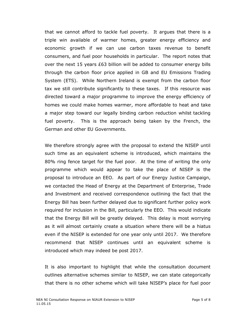that we cannot afford to tackle fuel poverty. It argues that there is a triple win available of warmer homes, greater energy efficiency and economic growth if we can use carbon taxes revenue to benefit consumers, and fuel poor households in particular. The report notes that over the next 15 years £63 billion will be added to consumer energy bills through the carbon floor price applied in GB and EU Emissions Trading System (ETS). While Northern Ireland is exempt from the carbon floor tax we still contribute significantly to these taxes. If this resource was directed toward a major programme to improve the energy efficiency of homes we could make homes warmer, more affordable to heat and take a major step toward our legally binding carbon reduction whilst tackling fuel poverty. This is the approach being taken by the French, the German and other EU Governments.

We therefore strongly agree with the proposal to extend the NISEP until such time as an equivalent scheme is introduced, which maintains the 80% ring fence target for the fuel poor. At the time of writing the only programme which would appear to take the place of NISEP is the proposal to introduce an EEO. As part of our Energy Justice Campaign, we contacted the Head of Energy at the Department of Enterprise, Trade and Investment and received correspondence outlining the fact that the Energy Bill has been further delayed due to significant further policy work required for inclusion in the Bill, particularly the EEO. This would indicate that the Energy Bill will be greatly delayed. This delay is most worrying as it will almost certainly create a situation where there will be a hiatus even if the NISEP is extended for one year only until 2017. We therefore recommend that NISEP continues until an equivalent scheme is introduced which may indeed be post 2017.

It is also important to highlight that while the consultation document outlines alternative schemes similar to NISEP, we can state categorically that there is no other scheme which will take NISEP's place for fuel poor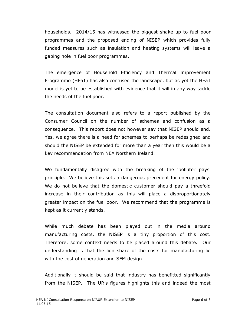households. 2014/15 has witnessed the biggest shake up to fuel poor programmes and the proposed ending of NISEP which provides fully funded measures such as insulation and heating systems will leave a gaping hole in fuel poor programmes.

The emergence of Household Efficiency and Thermal Improvement Programme (HEaT) has also confused the landscape, but as yet the HEaT model is yet to be established with evidence that it will in any way tackle the needs of the fuel poor.

The consultation document also refers to a report published by the Consumer Council on the number of schemes and confusion as a consequence. This report does not however say that NISEP should end. Yes, we agree there is a need for schemes to perhaps be redesigned and should the NISEP be extended for more than a year then this would be a key recommendation from NEA Northern Ireland.

We fundamentally disagree with the breaking of the 'polluter pays' principle. We believe this sets a dangerous precedent for energy policy. We do not believe that the domestic customer should pay a threefold increase in their contribution as this will place a disproportionately greater impact on the fuel poor. We recommend that the programme is kept as it currently stands.

While much debate has been played out in the media around manufacturing costs, the NISEP is a tiny proportion of this cost. Therefore, some context needs to be placed around this debate. Our understanding is that the lion share of the costs for manufacturing lie with the cost of generation and SEM design.

Additionally it should be said that industry has benefitted significantly from the NISEP. The UR's figures highlights this and indeed the most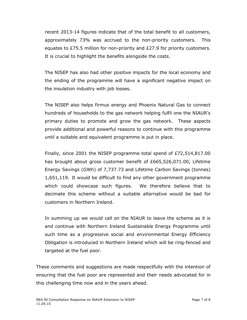recent 2013-14 figures indicate that of the total benefit to all customers, approximately 73% was accrued to the non-priority customers. This equates to £75.5 million for non-priority and £27.9 for priority customers. It is crucial to highlight the benefits alongside the costs.

The NISEP has also had other positive impacts for the local economy and the ending of the programme will have a significant negative impact on the insulation industry with job losses.

The NISEP also helps firmus energy and Phoenix Natural Gas to connect hundreds of households to the gas network helping fulfil one the NIAUR's primary duties to promote and grow the gas network. These aspects provide additional and powerful reasons to continue with this programme until a suitable and equivalent programme is put in place.

Finally, since 2001 the NISEP programme total spend of £72,514,817.00 has brought about gross customer benefit of £665,526,071.00, Lifetime Energy Savings (GWh) of 7,737.73 and Lifetime Carbon Savings (tonnes) 1,651,119. It would be difficult to find any other government programme which could showcase such figures. We therefore believe that to decimate this scheme without a suitable alternative would be bad for customers in Northern Ireland.

In summing up we would call on the NIAUR to leave the scheme as it is and continue with Northern Ireland Sustainable Energy Programme until such time as a progressive social and environmental Energy Efficiency Obligation is introduced in Northern Ireland which will be ring-fenced and targeted at the fuel poor.

These comments and suggestions are made respectfully with the intention of ensuring that the fuel poor are represented and their needs advocated for in this challenging time now and in the years ahead.